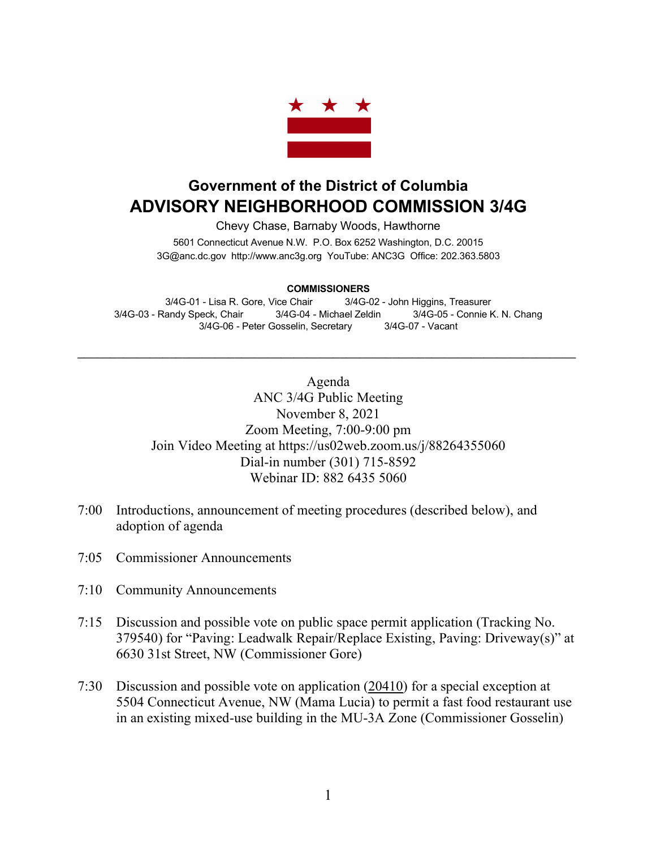

## **Government of the District of Columbia ADVISORY NEIGHBORHOOD COMMISSION 3/4G**

Chevy Chase, Barnaby Woods, Hawthorne

5601 Connecticut Avenue N.W. P.O. Box 6252 Washington, D.C. 20015 3G@anc.dc.gov http://www.anc3g.org YouTube: ANC3G Office: 202.363.5803

## **COMMISSIONERS**

3/4G-01 - Lisa R. Gore, Vice Chair 3/4G-02 - John Higgins, Treasurer 3/4G-03 - Randy Speck, Chair 3/4G-04 - Michael Zeldin 3/4G-05 - Connie K. N. Chang 3/4G-06 - Peter Gosselin, Secretary 3/4G-07 - Vacant

 $\mathcal{L}_\text{max} = \mathcal{L}_\text{max} = \mathcal{L}_\text{max} = \mathcal{L}_\text{max} = \mathcal{L}_\text{max} = \mathcal{L}_\text{max} = \mathcal{L}_\text{max} = \mathcal{L}_\text{max} = \mathcal{L}_\text{max} = \mathcal{L}_\text{max} = \mathcal{L}_\text{max} = \mathcal{L}_\text{max} = \mathcal{L}_\text{max} = \mathcal{L}_\text{max} = \mathcal{L}_\text{max} = \mathcal{L}_\text{max} = \mathcal{L}_\text{max} = \mathcal{L}_\text{max} = \mathcal{$ 

Agenda ANC 3/4G Public Meeting November 8, 2021 Zoom Meeting, 7:00-9:00 pm Join Video Meeting at https://us02web.zoom.us/j/88264355060 Dial-in number (301) 715-8592 Webinar ID: 882 6435 5060

- 7:00 Introductions, announcement of meeting procedures (described below), and adoption of agenda
- 7:05 Commissioner Announcements
- 7:10 Community Announcements
- 7:15 Discussion and possible vote on public space permit application (Tracking No. 379540) for "Paving: Leadwalk Repair/Replace Existing, Paving: Driveway(s)" at 6630 31st Street, NW (Commissioner Gore)
- 7:30 Discussion and possible vote on application (20410) for a special exception at 5504 Connecticut Avenue, NW (Mama Lucia) to permit a fast food restaurant use in an existing mixed-use building in the MU-3A Zone (Commissioner Gosselin)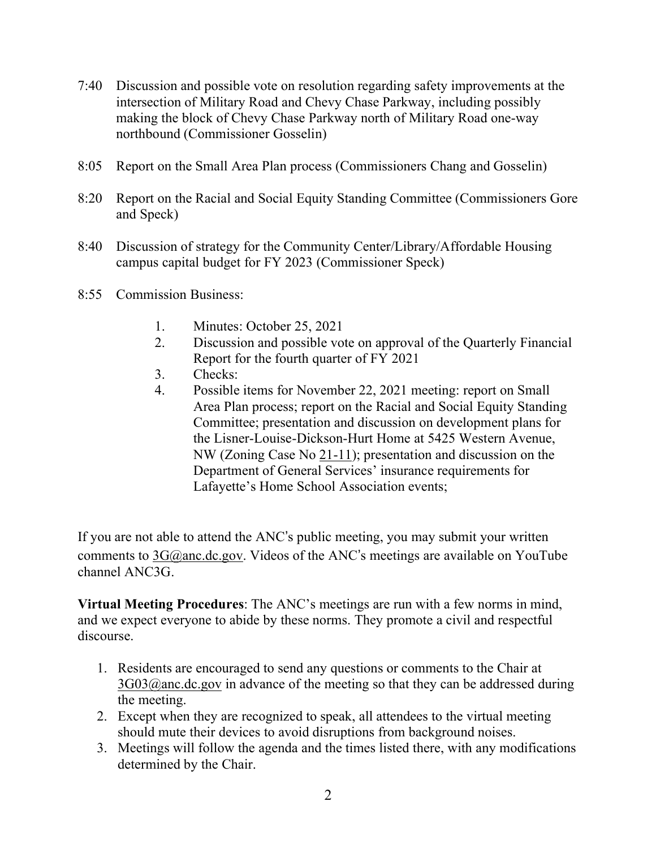- 7:40 Discussion and possible vote on resolution regarding safety improvements at the intersection of Military Road and Chevy Chase Parkway, including possibly making the block of Chevy Chase Parkway north of Military Road one-way northbound (Commissioner Gosselin)
- 8:05 Report on the Small Area Plan process (Commissioners Chang and Gosselin)
- 8:20 Report on the Racial and Social Equity Standing Committee (Commissioners Gore and Speck)
- 8:40 Discussion of strategy for the Community Center/Library/Affordable Housing campus capital budget for FY 2023 (Commissioner Speck)
- 8:55 Commission Business:
	- 1. Minutes: October 25, 2021
	- 2. Discussion and possible vote on approval of the Quarterly Financial Report for the fourth quarter of FY 2021
	- 3. Checks:
	- 4. Possible items for November 22, 2021 meeting: report on Small Area Plan process; report on the Racial and Social Equity Standing Committee; presentation and discussion on development plans for the Lisner-Louise-Dickson-Hurt Home at 5425 Western Avenue, NW (Zoning Case No 21-11); presentation and discussion on the Department of General Services' insurance requirements for Lafayette's Home School Association events;

If you are not able to attend the ANC's public meeting, you may submit your written comments to  $3G@anc.dc.gov$ . Videos of the ANC's meetings are available on YouTube channel ANC3G.

**Virtual Meeting Procedures**: The ANC's meetings are run with a few norms in mind, and we expect everyone to abide by these norms. They promote a civil and respectful discourse.

- 1. Residents are encouraged to send any questions or comments to the Chair at 3G03@anc.dc.gov in advance of the meeting so that they can be addressed during the meeting.
- 2. Except when they are recognized to speak, all attendees to the virtual meeting should mute their devices to avoid disruptions from background noises.
- 3. Meetings will follow the agenda and the times listed there, with any modifications determined by the Chair.